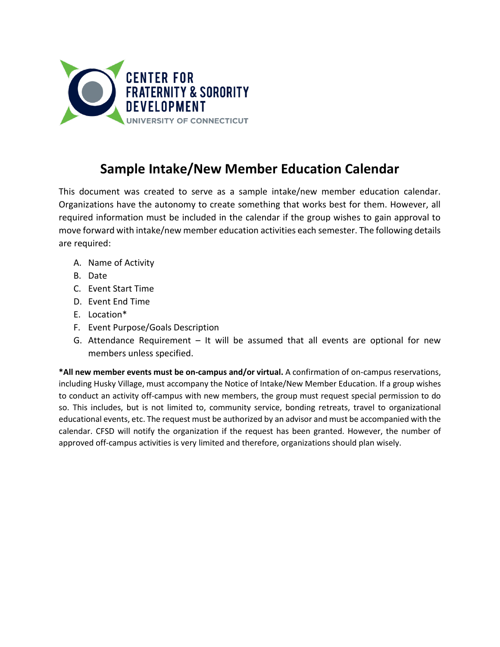

# **Sample Intake/New Member Education Calendar**

This document was created to serve as a sample intake/new member education calendar. Organizations have the autonomy to create something that works best for them. However, all required information must be included in the calendar if the group wishes to gain approval to move forward with intake/new member education activities each semester. The following details are required:

- A. Name of Activity
- B. Date
- C. Event Start Time
- D. Event End Time
- E. Location\*
- F. Event Purpose/Goals Description
- G. Attendance Requirement It will be assumed that all events are optional for new members unless specified.

**\*All new member events must be on-campus and/or virtual.** A confirmation of on-campus reservations, including Husky Village, must accompany the Notice of Intake/New Member Education. If a group wishes to conduct an activity off-campus with new members, the group must request special permission to do so. This includes, but is not limited to, community service, bonding retreats, travel to organizational educational events, etc. The request must be authorized by an advisor and must be accompanied with the calendar. CFSD will notify the organization if the request has been granted. However, the number of approved off-campus activities is very limited and therefore, organizations should plan wisely.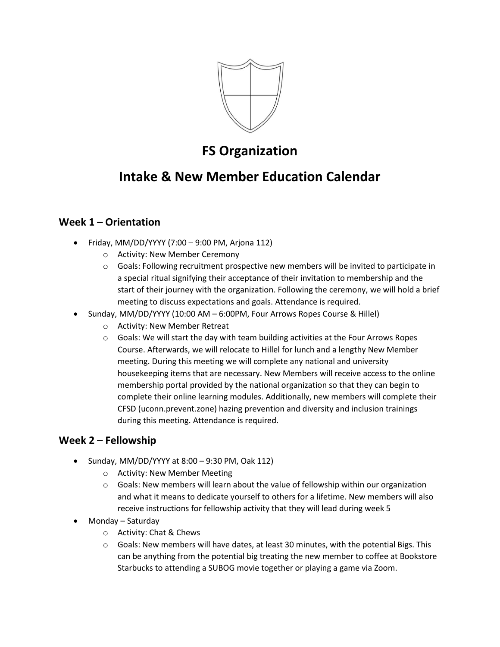

## **FS Organization**

## **Intake & New Member Education Calendar**

### **Week 1 – Orientation**

- Friday, MM/DD/YYYY (7:00 9:00 PM, Arjona 112)
	- o Activity: New Member Ceremony
	- $\circ$  Goals: Following recruitment prospective new members will be invited to participate in a special ritual signifying their acceptance of their invitation to membership and the start of their journey with the organization. Following the ceremony, we will hold a brief meeting to discuss expectations and goals. Attendance is required.
- Sunday, MM/DD/YYYY (10:00 AM 6:00PM, Four Arrows Ropes Course & Hillel)
	- o Activity: New Member Retreat
	- $\circ$  Goals: We will start the day with team building activities at the Four Arrows Ropes Course. Afterwards, we will relocate to Hillel for lunch and a lengthy New Member meeting. During this meeting we will complete any national and university housekeeping items that are necessary. New Members will receive access to the online membership portal provided by the national organization so that they can begin to complete their online learning modules. Additionally, new members will complete their CFSD (uconn.prevent.zone) hazing prevention and diversity and inclusion trainings during this meeting. Attendance is required.

### **Week 2 – Fellowship**

- Sunday, MM/DD/YYYY at  $8:00 9:30$  PM, Oak 112)
	- o Activity: New Member Meeting
	- $\circ$  Goals: New members will learn about the value of fellowship within our organization and what it means to dedicate yourself to others for a lifetime. New members will also receive instructions for fellowship activity that they will lead during week 5
- Monday Saturday
	- o Activity: Chat & Chews
	- $\circ$  Goals: New members will have dates, at least 30 minutes, with the potential Bigs. This can be anything from the potential big treating the new member to coffee at Bookstore Starbucks to attending a SUBOG movie together or playing a game via Zoom.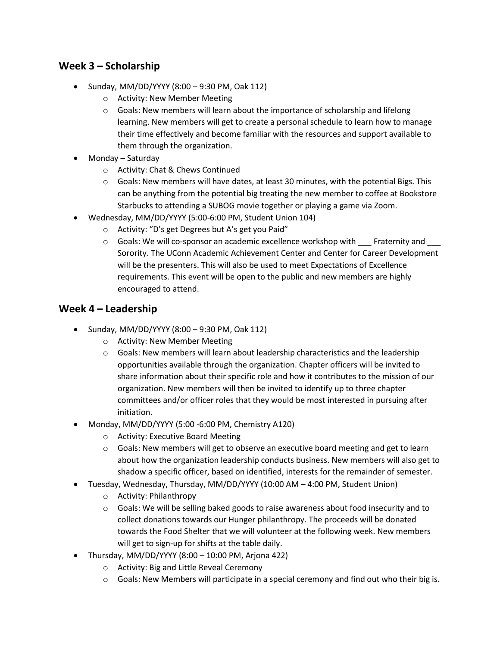### **Week 3 – Scholarship**

- Sunday, MM/DD/YYYY (8:00 9:30 PM, Oak 112)
	- o Activity: New Member Meeting
	- o Goals: New members will learn about the importance of scholarship and lifelong learning. New members will get to create a personal schedule to learn how to manage their time effectively and become familiar with the resources and support available to them through the organization.
- Monday Saturday
	- o Activity: Chat & Chews Continued
	- $\circ$  Goals: New members will have dates, at least 30 minutes, with the potential Bigs. This can be anything from the potential big treating the new member to coffee at Bookstore Starbucks to attending a SUBOG movie together or playing a game via Zoom.
- Wednesday, MM/DD/YYYY (5:00-6:00 PM, Student Union 104)
	- o Activity: "D's get Degrees but A's get you Paid"
	- $\circ$  Goals: We will co-sponsor an academic excellence workshop with  $\Box$  Fraternity and Sorority. The UConn Academic Achievement Center and Center for Career Development will be the presenters. This will also be used to meet Expectations of Excellence requirements. This event will be open to the public and new members are highly encouraged to attend.

#### **Week 4 – Leadership**

- Sunday, MM/DD/YYYY (8:00 9:30 PM, Oak 112)
	- o Activity: New Member Meeting
	- $\circ$  Goals: New members will learn about leadership characteristics and the leadership opportunities available through the organization. Chapter officers will be invited to share information about their specific role and how it contributes to the mission of our organization. New members will then be invited to identify up to three chapter committees and/or officer roles that they would be most interested in pursuing after initiation.
- Monday, MM/DD/YYYY (5:00 -6:00 PM, Chemistry A120)
	- o Activity: Executive Board Meeting
	- $\circ$  Goals: New members will get to observe an executive board meeting and get to learn about how the organization leadership conducts business. New members will also get to shadow a specific officer, based on identified, interests for the remainder of semester.
- Tuesday, Wednesday, Thursday, MM/DD/YYYY (10:00 AM 4:00 PM, Student Union)
	- o Activity: Philanthropy
	- $\circ$  Goals: We will be selling baked goods to raise awareness about food insecurity and to collect donations towards our Hunger philanthropy. The proceeds will be donated towards the Food Shelter that we will volunteer at the following week. New members will get to sign-up for shifts at the table daily.
- Thursday, MM/DD/YYYY  $(8:00 10:00 \text{ PM}, \text{Arjona } 422)$ 
	- o Activity: Big and Little Reveal Ceremony
	- $\circ$  Goals: New Members will participate in a special ceremony and find out who their big is.